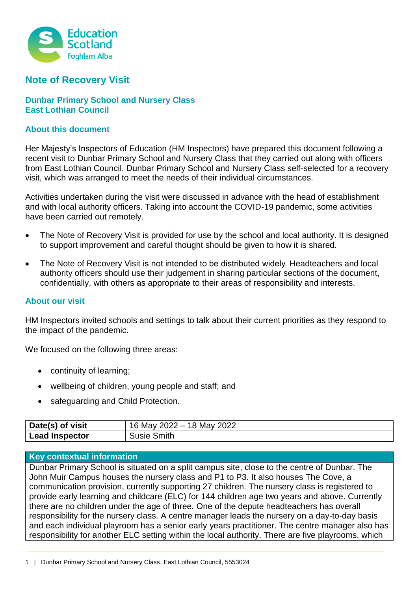

# **Note of Recovery Visit**

# **Dunbar Primary School and Nursery Class East Lothian Council**

### **About this document**

Her Majesty's Inspectors of Education (HM Inspectors) have prepared this document following a recent visit to Dunbar Primary School and Nursery Class that they carried out along with officers from East Lothian Council. Dunbar Primary School and Nursery Class self-selected for a recovery visit, which was arranged to meet the needs of their individual circumstances.

Activities undertaken during the visit were discussed in advance with the head of establishment and with local authority officers. Taking into account the COVID-19 pandemic, some activities have been carried out remotely.

- The Note of Recovery Visit is provided for use by the school and local authority. It is designed to support improvement and careful thought should be given to how it is shared.
- The Note of Recovery Visit is not intended to be distributed widely. Headteachers and local authority officers should use their judgement in sharing particular sections of the document, confidentially, with others as appropriate to their areas of responsibility and interests.

#### **About our visit**

HM Inspectors invited schools and settings to talk about their current priorities as they respond to the impact of the pandemic.

We focused on the following three areas:

- continuity of learning;
- wellbeing of children, young people and staff; and
- safeguarding and Child Protection.

| Date(s) of visit      | 16 May 2022 – 18 May 2022 |
|-----------------------|---------------------------|
| <b>Lead Inspector</b> | Susie Smith               |

#### **Key contextual information**

Dunbar Primary School is situated on a split campus site, close to the centre of Dunbar. The John Muir Campus houses the nursery class and P1 to P3. It also houses The Cove, a communication provision, currently supporting 27 children. The nursery class is registered to provide early learning and childcare (ELC) for 144 children age two years and above. Currently there are no children under the age of three. One of the depute headteachers has overall responsibility for the nursery class. A centre manager leads the nursery on a day-to-day basis and each individual playroom has a senior early years practitioner. The centre manager also has responsibility for another ELC setting within the local authority. There are five playrooms, which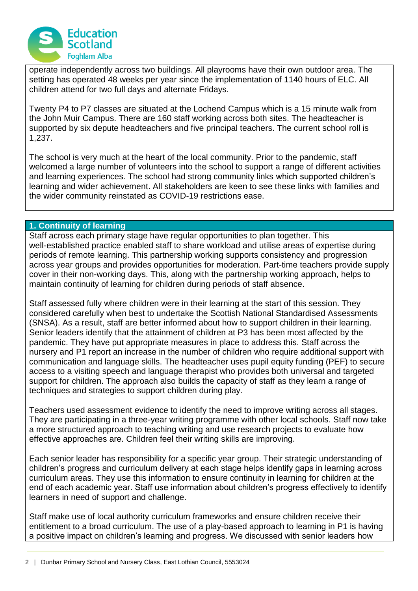

operate independently across two buildings. All playrooms have their own outdoor area. The setting has operated 48 weeks per year since the implementation of 1140 hours of ELC. All children attend for two full days and alternate Fridays.

Twenty P4 to P7 classes are situated at the Lochend Campus which is a 15 minute walk from the John Muir Campus. There are 160 staff working across both sites. The headteacher is supported by six depute headteachers and five principal teachers. The current school roll is 1,237.

The school is very much at the heart of the local community. Prior to the pandemic, staff welcomed a large number of volunteers into the school to support a range of different activities and learning experiences. The school had strong community links which supported children's learning and wider achievement. All stakeholders are keen to see these links with families and the wider community reinstated as COVID-19 restrictions ease.

#### **1. Continuity of learning**

Staff across each primary stage have regular opportunities to plan together. This well-established practice enabled staff to share workload and utilise areas of expertise during periods of remote learning. This partnership working supports consistency and progression across year groups and provides opportunities for moderation. Part-time teachers provide supply cover in their non-working days. This, along with the partnership working approach, helps to maintain continuity of learning for children during periods of staff absence.

Staff assessed fully where children were in their learning at the start of this session. They considered carefully when best to undertake the Scottish National Standardised Assessments (SNSA). As a result, staff are better informed about how to support children in their learning. Senior leaders identify that the attainment of children at P3 has been most affected by the pandemic. They have put appropriate measures in place to address this. Staff across the nursery and P1 report an increase in the number of children who require additional support with communication and language skills. The headteacher uses pupil equity funding (PEF) to secure access to a visiting speech and language therapist who provides both universal and targeted support for children. The approach also builds the capacity of staff as they learn a range of techniques and strategies to support children during play.

Teachers used assessment evidence to identify the need to improve writing across all stages. They are participating in a three-year writing programme with other local schools. Staff now take a more structured approach to teaching writing and use research projects to evaluate how effective approaches are. Children feel their writing skills are improving.

Each senior leader has responsibility for a specific year group. Their strategic understanding of children's progress and curriculum delivery at each stage helps identify gaps in learning across curriculum areas. They use this information to ensure continuity in learning for children at the end of each academic year. Staff use information about children's progress effectively to identify learners in need of support and challenge.

Staff make use of local authority curriculum frameworks and ensure children receive their entitlement to a broad curriculum. The use of a play-based approach to learning in P1 is having a positive impact on children's learning and progress. We discussed with senior leaders how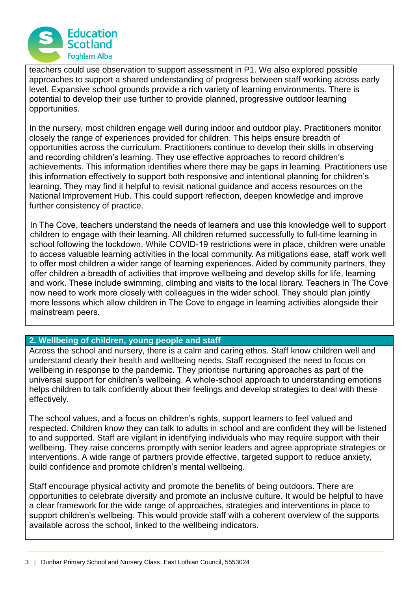

teachers could use observation to support assessment in P1. We also explored possible approaches to support a shared understanding of progress between staff working across early level. Expansive school grounds provide a rich variety of learning environments. There is potential to develop their use further to provide planned, progressive outdoor learning opportunities.

In the nursery, most children engage well during indoor and outdoor play. Practitioners monitor closely the range of experiences provided for children. This helps ensure breadth of opportunities across the curriculum. Practitioners continue to develop their skills in observing and recording children's learning. They use effective approaches to record children's achievements. This information identifies where there may be gaps in learning. Practitioners use this information effectively to support both responsive and intentional planning for children's learning. They may find it helpful to revisit national guidance and access resources on the National Improvement Hub. This could support reflection, deepen knowledge and improve further consistency of practice.

In The Cove, teachers understand the needs of learners and use this knowledge well to support children to engage with their learning. All children returned successfully to full-time learning in school following the lockdown. While COVID-19 restrictions were in place, children were unable to access valuable learning activities in the local community. As mitigations ease, staff work well to offer most children a wider range of learning experiences. Aided by community partners, they offer children a breadth of activities that improve wellbeing and develop skills for life, learning and work. These include swimming, climbing and visits to the local library. Teachers in The Cove now need to work more closely with colleagues in the wider school. They should plan jointly more lessons which allow children in The Cove to engage in learning activities alongside their mainstream peers.

# **2. Wellbeing of children, young people and staff**

Across the school and nursery, there is a calm and caring ethos. Staff know children well and understand clearly their health and wellbeing needs. Staff recognised the need to focus on wellbeing in response to the pandemic. They prioritise nurturing approaches as part of the universal support for children's wellbeing. A whole-school approach to understanding emotions helps children to talk confidently about their feelings and develop strategies to deal with these effectively.

The school values, and a focus on children's rights, support learners to feel valued and respected. Children know they can talk to adults in school and are confident they will be listened to and supported. Staff are vigilant in identifying individuals who may require support with their wellbeing. They raise concerns promptly with senior leaders and agree appropriate strategies or interventions. A wide range of partners provide effective, targeted support to reduce anxiety, build confidence and promote children's mental wellbeing.

Staff encourage physical activity and promote the benefits of being outdoors. There are opportunities to celebrate diversity and promote an inclusive culture. It would be helpful to have a clear framework for the wide range of approaches, strategies and interventions in place to support children's wellbeing. This would provide staff with a coherent overview of the supports available across the school, linked to the wellbeing indicators.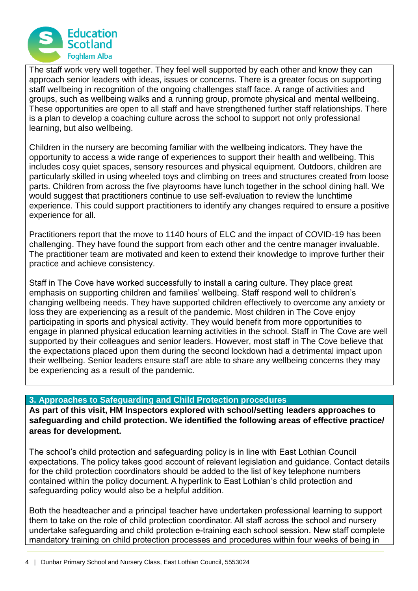

The staff work very well together. They feel well supported by each other and know they can approach senior leaders with ideas, issues or concerns. There is a greater focus on supporting staff wellbeing in recognition of the ongoing challenges staff face. A range of activities and groups, such as wellbeing walks and a running group, promote physical and mental wellbeing. These opportunities are open to all staff and have strengthened further staff relationships. There is a plan to develop a coaching culture across the school to support not only professional learning, but also wellbeing.

Children in the nursery are becoming familiar with the wellbeing indicators. They have the opportunity to access a wide range of experiences to support their health and wellbeing. This includes cosy quiet spaces, sensory resources and physical equipment. Outdoors, children are particularly skilled in using wheeled toys and climbing on trees and structures created from loose parts. Children from across the five playrooms have lunch together in the school dining hall. We would suggest that practitioners continue to use self-evaluation to review the lunchtime experience. This could support practitioners to identify any changes required to ensure a positive experience for all.

Practitioners report that the move to 1140 hours of ELC and the impact of COVID-19 has been challenging. They have found the support from each other and the centre manager invaluable. The practitioner team are motivated and keen to extend their knowledge to improve further their practice and achieve consistency.

Staff in The Cove have worked successfully to install a caring culture. They place great emphasis on supporting children and families' wellbeing. Staff respond well to children's changing wellbeing needs. They have supported children effectively to overcome any anxiety or loss they are experiencing as a result of the pandemic. Most children in The Cove enjoy participating in sports and physical activity. They would benefit from more opportunities to engage in planned physical education learning activities in the school. Staff in The Cove are well supported by their colleagues and senior leaders. However, most staff in The Cove believe that the expectations placed upon them during the second lockdown had a detrimental impact upon their wellbeing. Senior leaders ensure staff are able to share any wellbeing concerns they may be experiencing as a result of the pandemic.

# **3. Approaches to Safeguarding and Child Protection procedures**

**As part of this visit, HM Inspectors explored with school/setting leaders approaches to safeguarding and child protection. We identified the following areas of effective practice/ areas for development.**

The school's child protection and safeguarding policy is in line with East Lothian Council expectations. The policy takes good account of relevant legislation and guidance. Contact details for the child protection coordinators should be added to the list of key telephone numbers contained within the policy document. A hyperlink to East Lothian's child protection and safeguarding policy would also be a helpful addition.

Both the headteacher and a principal teacher have undertaken professional learning to support them to take on the role of child protection coordinator. All staff across the school and nursery undertake safeguarding and child protection e-training each school session. New staff complete mandatory training on child protection processes and procedures within four weeks of being in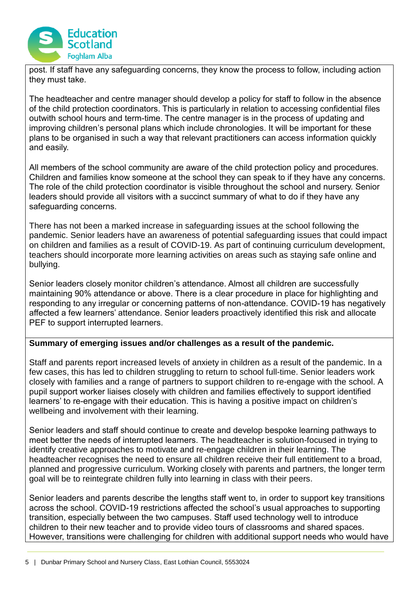

post. If staff have any safeguarding concerns, they know the process to follow, including action they must take.

The headteacher and centre manager should develop a policy for staff to follow in the absence of the child protection coordinators. This is particularly in relation to accessing confidential files outwith school hours and term-time. The centre manager is in the process of updating and improving children's personal plans which include chronologies. It will be important for these plans to be organised in such a way that relevant practitioners can access information quickly and easily.

All members of the school community are aware of the child protection policy and procedures. Children and families know someone at the school they can speak to if they have any concerns. The role of the child protection coordinator is visible throughout the school and nursery. Senior leaders should provide all visitors with a succinct summary of what to do if they have any safeguarding concerns.

There has not been a marked increase in safeguarding issues at the school following the pandemic. Senior leaders have an awareness of potential safeguarding issues that could impact on children and families as a result of COVID-19. As part of continuing curriculum development, teachers should incorporate more learning activities on areas such as staying safe online and bullying.

Senior leaders closely monitor children's attendance. Almost all children are successfully maintaining 90% attendance or above. There is a clear procedure in place for highlighting and responding to any irregular or concerning patterns of non-attendance. COVID-19 has negatively affected a few learners' attendance. Senior leaders proactively identified this risk and allocate PEF to support interrupted learners.

# **Summary of emerging issues and/or challenges as a result of the pandemic.**

Staff and parents report increased levels of anxiety in children as a result of the pandemic. In a few cases, this has led to children struggling to return to school full-time. Senior leaders work closely with families and a range of partners to support children to re-engage with the school. A pupil support worker liaises closely with children and families effectively to support identified learners' to re-engage with their education. This is having a positive impact on children's wellbeing and involvement with their learning.

Senior leaders and staff should continue to create and develop bespoke learning pathways to meet better the needs of interrupted learners. The headteacher is solution-focused in trying to identify creative approaches to motivate and re-engage children in their learning. The headteacher recognises the need to ensure all children receive their full entitlement to a broad, planned and progressive curriculum. Working closely with parents and partners, the longer term goal will be to reintegrate children fully into learning in class with their peers.

Senior leaders and parents describe the lengths staff went to, in order to support key transitions across the school. COVID-19 restrictions affected the school's usual approaches to supporting transition, especially between the two campuses. Staff used technology well to introduce children to their new teacher and to provide video tours of classrooms and shared spaces. However, transitions were challenging for children with additional support needs who would have